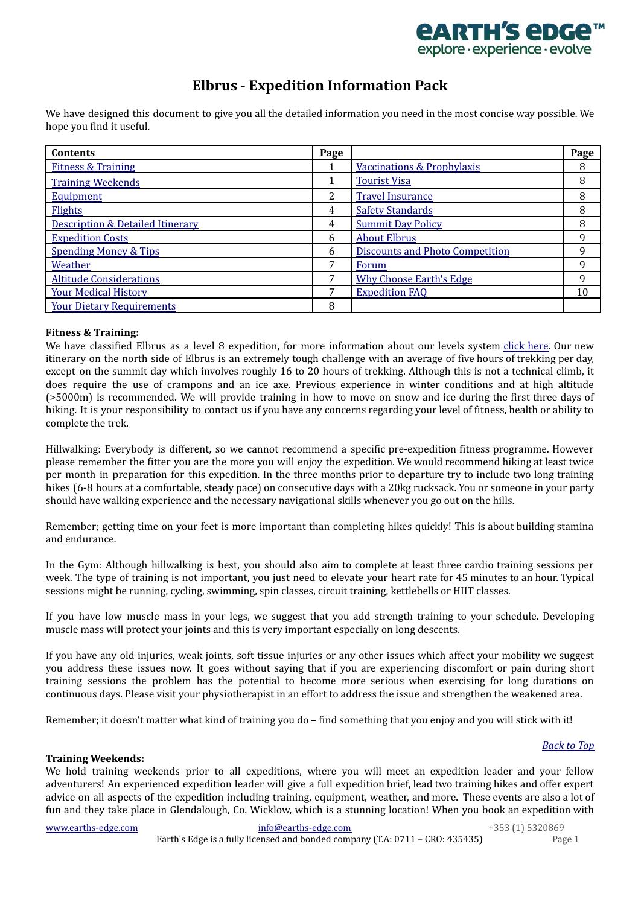

# **Elbrus - Expedition Information Pack**

<span id="page-0-2"></span>We have designed this document to give you all the detailed information you need in the most concise way possible. We hope you find it useful.

| <b>Contents</b>                             | Page |                                        | Page |
|---------------------------------------------|------|----------------------------------------|------|
| <b>Fitness &amp; Training</b>               |      | <b>Vaccinations &amp; Prophylaxis</b>  | 8    |
| <b>Training Weekends</b>                    |      | <b>Tourist Visa</b>                    | 8    |
| <b>Equipment</b>                            | 2    | <b>Travel Insurance</b>                | 8    |
| Flights                                     | 4    | <b>Safety Standards</b>                | 8    |
| <b>Description &amp; Detailed Itinerary</b> | 4    | <b>Summit Day Policy</b>               | 8    |
| <b>Expedition Costs</b>                     | 6    | <b>About Elbrus</b>                    | q    |
| <b>Spending Money &amp; Tips</b>            | 6    | <b>Discounts and Photo Competition</b> | q    |
| Weather                                     |      | Forum                                  | 9    |
| <b>Altitude Considerations</b>              | 7    | <b>Why Choose Earth's Edge</b>         | 9    |
| <b>Your Medical History</b>                 |      | <b>Expedition FAQ</b>                  | 10   |
| <b>Your Dietary Requirements</b>            | 8    |                                        |      |

## <span id="page-0-0"></span>**Fitness & Training:**

We have classified Elbrus as a level 8 expedition, for more information about our levels system [click](https://earths-edge.com/levels/) here. Our new itinerary on the north side of Elbrus is an extremely tough challenge with an average of five hours of trekking per day, except on the summit day which involves roughly 16 to 20 hours of trekking. Although this is not a technical climb, it does require the use of crampons and an ice axe. Previous experience in winter conditions and at high altitude (>5000m) is recommended. We will provide training in how to move on snow and ice during the first three days of hiking. It is your responsibility to contact us if you have any concerns regarding your level of fitness, health or ability to complete the trek.

Hillwalking: Everybody is different, so we cannot recommend a specific pre-expedition fitness programme. However please remember the fitter you are the more you will enjoy the expedition. We would recommend hiking at least twice per month in preparation for this expedition. In the three months prior to departure try to include two long training hikes (6-8 hours at a comfortable, steady pace) on consecutive days with a 20kg rucksack. You or someone in your party should have walking experience and the necessary navigational skills whenever you go out on the hills.

Remember; getting time on your feet is more important than completing hikes quickly! This is about building stamina and endurance.

In the Gym: Although hillwalking is best, you should also aim to complete at least three cardio training sessions per week. The type of training is not important, you just need to elevate your heart rate for 45 minutes to an hour. Typical sessions might be running, cycling, swimming, spin classes, circuit training, kettlebells or HIIT classes.

If you have low muscle mass in your legs, we suggest that you add strength training to your schedule. Developing muscle mass will protect your joints and this is very important especially on long descents.

If you have any old injuries, weak joints, soft tissue injuries or any other issues which affect your mobility we suggest you address these issues now. It goes without saying that if you are experiencing discomfort or pain during short training sessions the problem has the potential to become more serious when exercising for long durations on continuous days. Please visit your physiotherapist in an effort to address the issue and strengthen the weakened area.

Remember; it doesn't matter what kind of training you do – find something that you enjoy and you will stick with it!

## <span id="page-0-1"></span>**Training Weekends:**

We hold training weekends prior to all expeditions, where you will meet an expedition leader and your fellow adventurers! An experienced expedition leader will give a full expedition brief, lead two training hikes and offer expert advice on all aspects of the expedition including training, equipment, weather, and more. These events are also a lot of fun and they take place in Glendalough, Co. Wicklow, which is a stunning location! When you book an expedition with

[www.earths-edge.com](http://www.earths-edge.com/) [info@earths-edge.com](mailto:info@earths-edge.com) **info@earths-edge.com** +353 (1) 5320869

*[Back](#page-0-2) to Top*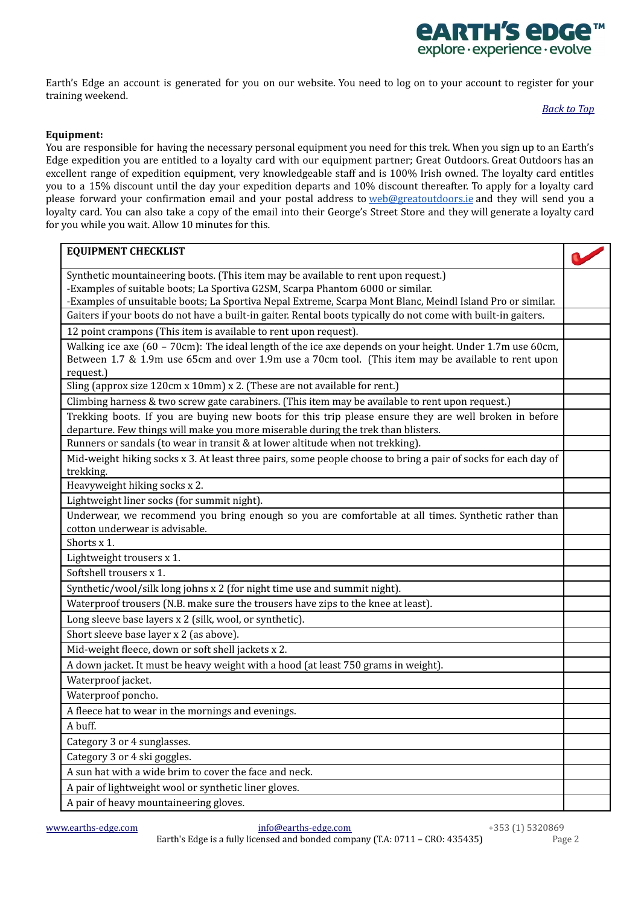

<span id="page-1-0"></span>Earth's Edge an account is generated for you on our website. You need to log on to your account to register for your training weekend.

### *[Back](#page-0-2) to Top*

## **Equipment:**

You are responsible for having the necessary personal equipment you need for this trek. When you sign up to an Earth's Edge expedition you are entitled to a loyalty card with our equipment partner; Great Outdoors. Great Outdoors has an excellent range of expedition equipment, very knowledgeable staff and is 100% Irish owned. The loyalty card entitles you to a 15% discount until the day your expedition departs and 10% discount thereafter. To apply for a loyalty card please forward your confirmation email and your postal address to [web@greatoutdoors.ie](mailto:web@greatoutdoors.ie) and they will send you a loyalty card. You can also take a copy of the email into their George's Street Store and they will generate a loyalty card for you while you wait. Allow 10 minutes for this.

| <b>EQUIPMENT CHECKLIST</b>                                                                                                                                                                  |  |
|---------------------------------------------------------------------------------------------------------------------------------------------------------------------------------------------|--|
| Synthetic mountaineering boots. (This item may be available to rent upon request.)                                                                                                          |  |
| -Examples of suitable boots; La Sportiva G2SM, Scarpa Phantom 6000 or similar.                                                                                                              |  |
| -Examples of unsuitable boots; La Sportiva Nepal Extreme, Scarpa Mont Blanc, Meindl Island Pro or similar.                                                                                  |  |
| Gaiters if your boots do not have a built-in gaiter. Rental boots typically do not come with built-in gaiters.                                                                              |  |
| 12 point crampons (This item is available to rent upon request).                                                                                                                            |  |
| Walking ice axe (60 - 70cm): The ideal length of the ice axe depends on your height. Under 1.7m use 60cm,                                                                                   |  |
| Between 1.7 & 1.9m use 65cm and over 1.9m use a 70cm tool. (This item may be available to rent upon                                                                                         |  |
| request.)                                                                                                                                                                                   |  |
| Sling (approx size 120cm x 10mm) x 2. (These are not available for rent.)                                                                                                                   |  |
| Climbing harness & two screw gate carabiners. (This item may be available to rent upon request.)                                                                                            |  |
| Trekking boots. If you are buying new boots for this trip please ensure they are well broken in before<br>departure. Few things will make you more miserable during the trek than blisters. |  |
| Runners or sandals (to wear in transit & at lower altitude when not trekking).                                                                                                              |  |
| Mid-weight hiking socks x 3. At least three pairs, some people choose to bring a pair of socks for each day of                                                                              |  |
| trekking.                                                                                                                                                                                   |  |
| Heavyweight hiking socks x 2.                                                                                                                                                               |  |
| Lightweight liner socks (for summit night).                                                                                                                                                 |  |
| Underwear, we recommend you bring enough so you are comfortable at all times. Synthetic rather than                                                                                         |  |
| cotton underwear is advisable.                                                                                                                                                              |  |
| Shorts x 1.                                                                                                                                                                                 |  |
| Lightweight trousers x 1.                                                                                                                                                                   |  |
| Softshell trousers x 1.                                                                                                                                                                     |  |
| Synthetic/wool/silk long johns x 2 (for night time use and summit night).                                                                                                                   |  |
| Waterproof trousers (N.B. make sure the trousers have zips to the knee at least).                                                                                                           |  |
| Long sleeve base layers x 2 (silk, wool, or synthetic).                                                                                                                                     |  |
| Short sleeve base layer x 2 (as above).                                                                                                                                                     |  |
| Mid-weight fleece, down or soft shell jackets x 2.                                                                                                                                          |  |
| A down jacket. It must be heavy weight with a hood (at least 750 grams in weight).                                                                                                          |  |
| Waterproof jacket.                                                                                                                                                                          |  |
| Waterproof poncho.                                                                                                                                                                          |  |
| A fleece hat to wear in the mornings and evenings.                                                                                                                                          |  |
| A buff.                                                                                                                                                                                     |  |
| Category 3 or 4 sunglasses.                                                                                                                                                                 |  |
| Category 3 or 4 ski goggles.                                                                                                                                                                |  |
| A sun hat with a wide brim to cover the face and neck.                                                                                                                                      |  |
| A pair of lightweight wool or synthetic liner gloves.                                                                                                                                       |  |
| A pair of heavy mountaineering gloves.                                                                                                                                                      |  |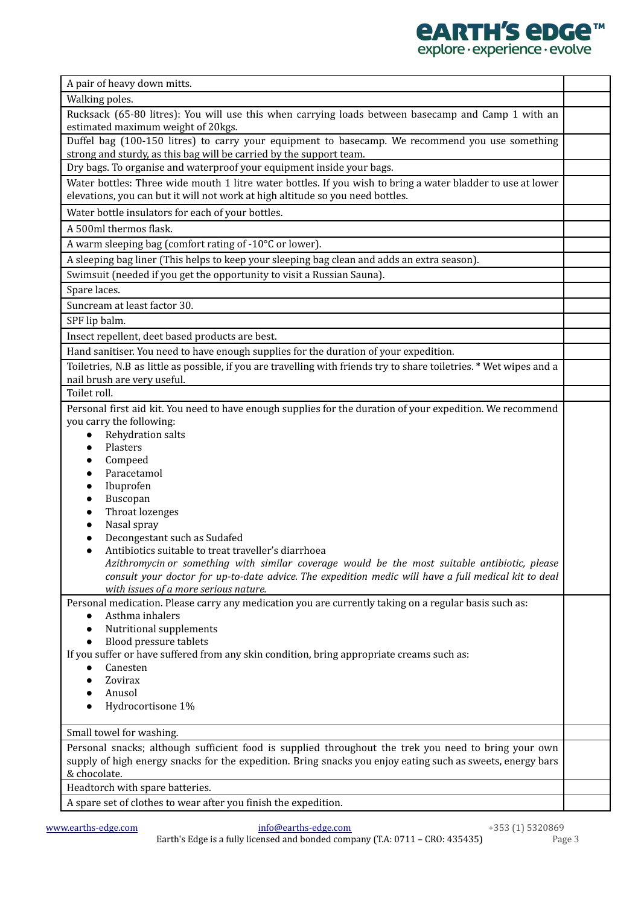| explore · experience · evolve                                                                                                                                                                 |  |
|-----------------------------------------------------------------------------------------------------------------------------------------------------------------------------------------------|--|
| A pair of heavy down mitts.                                                                                                                                                                   |  |
| Walking poles.                                                                                                                                                                                |  |
| Rucksack (65-80 litres): You will use this when carrying loads between basecamp and Camp 1 with an                                                                                            |  |
| estimated maximum weight of 20kgs.                                                                                                                                                            |  |
| Duffel bag (100-150 litres) to carry your equipment to basecamp. We recommend you use something                                                                                               |  |
| strong and sturdy, as this bag will be carried by the support team.                                                                                                                           |  |
| Dry bags. To organise and waterproof your equipment inside your bags.                                                                                                                         |  |
| Water bottles: Three wide mouth 1 litre water bottles. If you wish to bring a water bladder to use at lower<br>elevations, you can but it will not work at high altitude so you need bottles. |  |
| Water bottle insulators for each of your bottles.                                                                                                                                             |  |
| A 500ml thermos flask.                                                                                                                                                                        |  |
| A warm sleeping bag (comfort rating of -10°C or lower).                                                                                                                                       |  |
| A sleeping bag liner (This helps to keep your sleeping bag clean and adds an extra season).                                                                                                   |  |
| Swimsuit (needed if you get the opportunity to visit a Russian Sauna).                                                                                                                        |  |
| Spare laces.                                                                                                                                                                                  |  |
| Suncream at least factor 30.                                                                                                                                                                  |  |
| SPF lip balm.                                                                                                                                                                                 |  |
| Insect repellent, deet based products are best.                                                                                                                                               |  |
| Hand sanitiser. You need to have enough supplies for the duration of your expedition.                                                                                                         |  |
| Toiletries, N.B as little as possible, if you are travelling with friends try to share toiletries. * Wet wipes and a                                                                          |  |
| nail brush are very useful.                                                                                                                                                                   |  |
| Toilet roll.                                                                                                                                                                                  |  |
| Personal first aid kit. You need to have enough supplies for the duration of your expedition. We recommend                                                                                    |  |
| you carry the following:                                                                                                                                                                      |  |
| Rehydration salts<br>Plasters                                                                                                                                                                 |  |
| $\bullet$<br>Compeed                                                                                                                                                                          |  |
| Paracetamol                                                                                                                                                                                   |  |
| Ibuprofen                                                                                                                                                                                     |  |
| Buscopan                                                                                                                                                                                      |  |
| Throat lozenges                                                                                                                                                                               |  |
| Nasal spray                                                                                                                                                                                   |  |
| Decongestant such as Sudafed<br>Antibiotics suitable to treat traveller's diarrhoea                                                                                                           |  |
| Azithromycin or something with similar coverage would be the most suitable antibiotic, please                                                                                                 |  |
| consult your doctor for up-to-date advice. The expedition medic will have a full medical kit to deal                                                                                          |  |
| with issues of a more serious nature.                                                                                                                                                         |  |
| Personal medication. Please carry any medication you are currently taking on a regular basis such as:                                                                                         |  |
| Asthma inhalers<br>$\bullet$                                                                                                                                                                  |  |
| Nutritional supplements<br>$\bullet$                                                                                                                                                          |  |
| <b>Blood pressure tablets</b><br>$\bullet$<br>If you suffer or have suffered from any skin condition, bring appropriate creams such as:                                                       |  |
| Canesten                                                                                                                                                                                      |  |
| Zovirax                                                                                                                                                                                       |  |
| Anusol                                                                                                                                                                                        |  |
| Hydrocortisone 1%                                                                                                                                                                             |  |
| Small towel for washing.                                                                                                                                                                      |  |
| Personal snacks; although sufficient food is supplied throughout the trek you need to bring your own                                                                                          |  |
| supply of high energy snacks for the expedition. Bring snacks you enjoy eating such as sweets, energy bars                                                                                    |  |
| & chocolate.                                                                                                                                                                                  |  |
| Headtorch with spare batteries.                                                                                                                                                               |  |
| A spare set of clothes to wear after you finish the expedition.                                                                                                                               |  |

*<u>EARTH'S EDGE™</u>*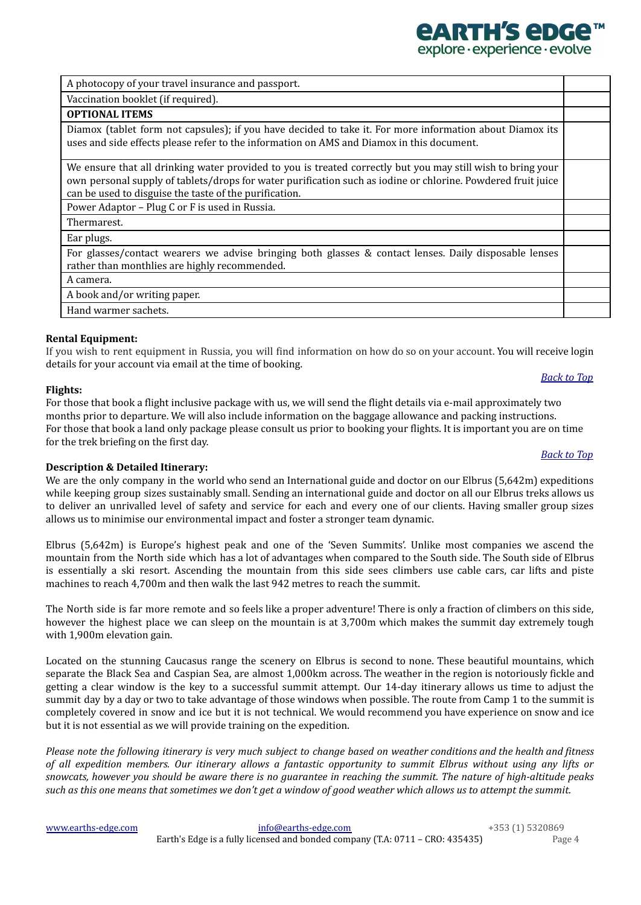[www.earths-edge.com](http://www.earths-edge.com/) [info@earths-edge.com](mailto:info@earths-edge.com) +353 (1) 5320869 Earth's Edge is a fully licensed and bonded company (T.A: 0711 – CRO: 435435) Page 4

A photocopy of your travel insurance and passport.

Vaccination booklet (if required).

## **Rental Equipment:**

If you wish to rent equipment in Russia, you will find information on how do so on your account. You will receive login details for your account via email at the time of booking.

## <span id="page-3-0"></span>**Flights:**

For those that book a flight inclusive package with us, we will send the flight details via e-mail approximately two months prior to departure. We will also include information on the baggage allowance and packing instructions. For those that book a land only package please consult us prior to booking your flights. It is important you are on time for the trek briefing on the first day.

## **Description & Detailed Itinerary:**

We are the only company in the world who send an International guide and doctor on our Elbrus (5,642m) expeditions while keeping group sizes sustainably small. Sending an international guide and doctor on all our Elbrus treks allows us to deliver an unrivalled level of safety and service for each and every one of our clients. Having smaller group sizes allows us to minimise our environmental impact and foster a stronger team dynamic.

Elbrus (5,642m) is Europe's highest peak and one of the 'Seven Summits'. Unlike most companies we ascend the mountain from the North side which has a lot of advantages when compared to the South side. The South side of Elbrus is essentially a ski resort. Ascending the mountain from this side sees climbers use cable cars, car lifts and piste machines to reach 4,700m and then walk the last 942 metres to reach the summit.

The North side is far more remote and so feels like a proper adventure! There is only a fraction of climbers on this side, however the highest place we can sleep on the mountain is at 3,700m which makes the summit day extremely tough with 1,900m elevation gain.

Located on the stunning Caucasus range the scenery on Elbrus is second to none. These beautiful mountains, which separate the Black Sea and Caspian Sea, are almost 1,000km across. The weather in the region is notoriously fickle and getting a clear window is the key to a successful summit attempt. Our 14-day itinerary allows us time to adjust the summit day by a day or two to take advantage of those windows when possible. The route from Camp 1 to the summit is completely covered in snow and ice but it is not technical. We would recommend you have experience on snow and ice but it is not essential as we will provide training on the expedition.

Please note the following itinerary is very much subject to change based on weather conditions and the health and fitness of all expedition members. Our itinerary allows a fantastic opportunity to summit Elbrus without using any lifts or snowcats, however you should be aware there is no guarantee in reaching the summit. The nature of high-altitude peaks such as this one means that sometimes we don't get a window of good weather which allows us to attempt the summit.

# *[Back](#page-0-2) to Top*

*[Back](#page-0-2) to Top*

*<u>ARTH'S ADG</u>* explore · experience · evolve

| <b>OPTIONAL ITEMS</b>                                                                                                                                                                                                                                                                 |  |
|---------------------------------------------------------------------------------------------------------------------------------------------------------------------------------------------------------------------------------------------------------------------------------------|--|
| Diamox (tablet form not capsules); if you have decided to take it. For more information about Diamox its<br>uses and side effects please refer to the information on AMS and Diamox in this document.                                                                                 |  |
| We ensure that all drinking water provided to you is treated correctly but you may still wish to bring your<br>own personal supply of tablets/drops for water purification such as iodine or chlorine. Powdered fruit juice<br>can be used to disguise the taste of the purification. |  |
| Power Adaptor - Plug C or F is used in Russia.                                                                                                                                                                                                                                        |  |
| Thermarest.                                                                                                                                                                                                                                                                           |  |
| Ear plugs.                                                                                                                                                                                                                                                                            |  |
| For glasses/contact wearers we advise bringing both glasses & contact lenses. Daily disposable lenses<br>rather than monthlies are highly recommended.                                                                                                                                |  |
| A camera.                                                                                                                                                                                                                                                                             |  |
| A book and/or writing paper.                                                                                                                                                                                                                                                          |  |
| Hand warmer sachets.                                                                                                                                                                                                                                                                  |  |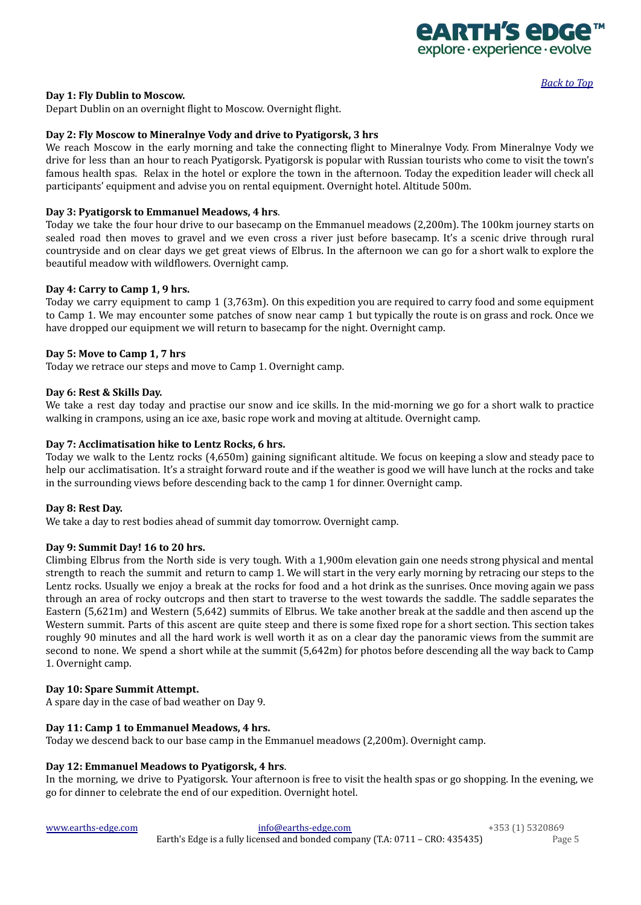

*[Back](#page-0-2) to Top*

## **Day 1: Fly Dublin to Moscow.**

Depart Dublin on an overnight flight to Moscow. Overnight flight.

## **Day 2: Fly Moscow to Mineralnye Vody and drive to Pyatigorsk, 3 hrs**

We reach Moscow in the early morning and take the connecting flight to Mineralnye Vody. From Mineralnye Vody we drive for less than an hour to reach Pyatigorsk. Pyatigorsk is popular with Russian tourists who come to visit the town's famous health spas. Relax in the hotel or explore the town in the afternoon. Today the expedition leader will check all participants' equipment and advise you on rental equipment. Overnight hotel. Altitude 500m.

### **Day 3: Pyatigorsk to Emmanuel Meadows, 4 hrs**.

Today we take the four hour drive to our basecamp on the Emmanuel meadows (2,200m). The 100km journey starts on sealed road then moves to gravel and we even cross a river just before basecamp. It's a scenic drive through rural countryside and on clear days we get great views of Elbrus. In the afternoon we can go for a short walk to explore the beautiful meadow with wildflowers. Overnight camp.

### **Day 4: Carry to Camp 1, 9 hrs.**

Today we carry equipment to camp 1 (3,763m). On this expedition you are required to carry food and some equipment to Camp 1. We may encounter some patches of snow near camp 1 but typically the route is on grass and rock. Once we have dropped our equipment we will return to basecamp for the night. Overnight camp.

### **Day 5: Move to Camp 1, 7 hrs**

Today we retrace our steps and move to Camp 1. Overnight camp.

### **Day 6: Rest & Skills Day.**

We take a rest day today and practise our snow and ice skills. In the mid-morning we go for a short walk to practice walking in crampons, using an ice axe, basic rope work and moving at altitude. Overnight camp.

### **Day 7: Acclimatisation hike to Lentz Rocks, 6 hrs.**

Today we walk to the Lentz rocks (4,650m) gaining significant altitude. We focus on keeping a slow and steady pace to help our acclimatisation. It's a straight forward route and if the weather is good we will have lunch at the rocks and take in the surrounding views before descending back to the camp 1 for dinner. Overnight camp.

#### **Day 8: Rest Day.**

We take a day to rest bodies ahead of summit day tomorrow. Overnight camp.

## **Day 9: Summit Day! 16 to 20 hrs.**

Climbing Elbrus from the North side is very tough. With a 1,900m elevation gain one needs strong physical and mental strength to reach the summit and return to camp 1. We will start in the very early morning by retracing our steps to the Lentz rocks. Usually we enjoy a break at the rocks for food and a hot drink as the sunrises. Once moving again we pass through an area of rocky outcrops and then start to traverse to the west towards the saddle. The saddle separates the Eastern (5,621m) and Western (5,642) summits of Elbrus. We take another break at the saddle and then ascend up the Western summit. Parts of this ascent are quite steep and there is some fixed rope for a short section. This section takes roughly 90 minutes and all the hard work is well worth it as on a clear day the panoramic views from the summit are second to none. We spend a short while at the summit (5,642m) for photos before descending all the way back to Camp 1. Overnight camp.

#### **Day 10: Spare Summit Attempt.**

A spare day in the case of bad weather on Day 9.

#### **Day 11: Camp 1 to Emmanuel Meadows, 4 hrs.**

Today we descend back to our base camp in the Emmanuel meadows (2,200m). Overnight camp.

## **Day 12: Emmanuel Meadows to Pyatigorsk, 4 hrs**.

In the morning, we drive to Pyatigorsk. Your afternoon is free to visit the health spas or go shopping. In the evening, we go for dinner to celebrate the end of our expedition. Overnight hotel.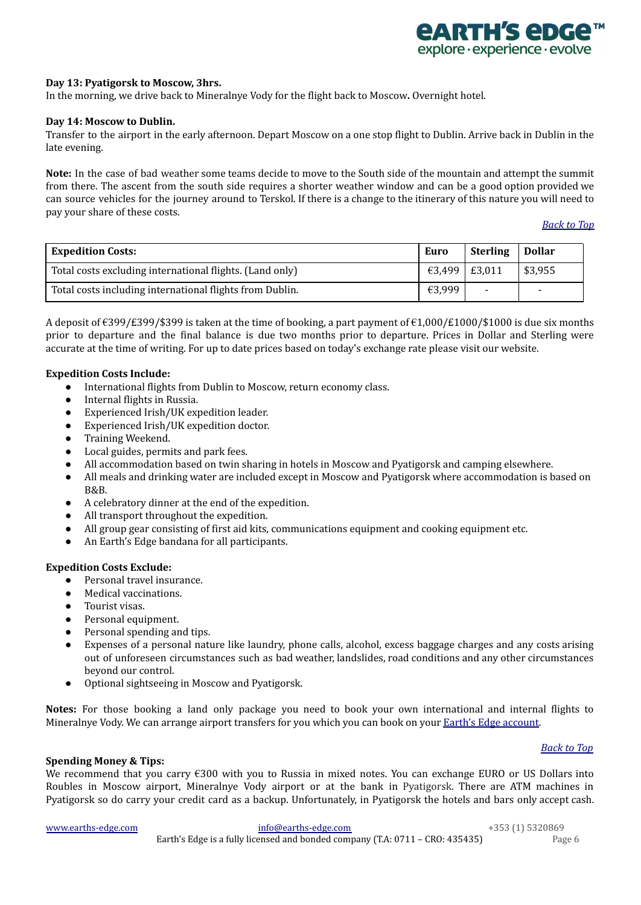

## **Day 13: Pyatigorsk to Moscow, 3hrs.**

In the morning, we drive back to Mineralnye Vody for the flight back to Moscow**.** Overnight hotel.

### **Day 14: Moscow to Dublin.**

Transfer to the airport in the early afternoon. Depart Moscow on a one stop flight to Dublin. Arrive back in Dublin in the late evening.

**Note:** In the case of bad weather some teams decide to move to the South side of the mountain and attempt the summit from there. The ascent from the south side requires a shorter weather window and can be a good option provided we can source vehicles for the journey around to Terskol. If there is a change to the itinerary of this nature you will need to pay your share of these costs.

*[Back](#page-0-2) to Top*

<span id="page-5-0"></span>

| <b>Expedition Costs:</b>                                 | Euro          | <b>Sterling</b>          | <b>Dollar</b>            |
|----------------------------------------------------------|---------------|--------------------------|--------------------------|
| Total costs excluding international flights. (Land only) | €3,499 E3,011 |                          | \$3,955                  |
| Total costs including international flights from Dublin. | €3,999        | $\overline{\phantom{0}}$ | $\overline{\phantom{0}}$ |

A deposit of €399/£399/\$399 is taken at the time of booking, a part payment of €1,000/£1000/\$1000 is due six months prior to departure and the final balance is due two months prior to departure. Prices in Dollar and Sterling were accurate at the time of writing. For up to date prices based on today's exchange rate please visit our website.

### **Expedition Costs Include:**

- International flights from Dublin to Moscow, return economy class.
- Internal flights in Russia.
- Experienced Irish/UK expedition leader.
- Experienced Irish/UK expedition doctor.
- Training Weekend.
- Local guides, permits and park fees.
- All accommodation based on twin sharing in hotels in Moscow and Pyatigorsk and camping elsewhere.
- All meals and drinking water are included except in Moscow and Pyatigorsk where accommodation is based on B&B.
- A celebratory dinner at the end of the expedition.
- All transport throughout the expedition.
- All group gear consisting of first aid kits, communications equipment and cooking equipment etc.
- An Earth's Edge bandana for all participants.

### **Expedition Costs Exclude:**

- Personal travel insurance.
- Medical vaccinations.
- Tourist visas.
- Personal equipment.
- Personal spending and tips.
- Expenses of a personal nature like laundry, phone calls, alcohol, excess baggage charges and any costs arising out of unforeseen circumstances such as bad weather, landslides, road conditions and any other circumstances beyond our control.
- Optional sightseeing in Moscow and Pyatigorsk.

**Notes:** For those booking a land only package you need to book your own international and internal flights to Mineralnye Vody. We can arrange airport transfers for you which you can book on your **Earth's Edge [account](https://www.earths-edge.com/my-account/)**.

## *[Back](#page-0-2) to Top*

<span id="page-5-1"></span>**Spending Money & Tips:**

We recommend that you carry €300 with you to Russia in mixed notes. You can exchange EURO or US Dollars into Roubles in Moscow airport, Mineralnye Vody airport or at the bank in Pyatigorsk. There are ATM machines in Pyatigorsk so do carry your credit card as a backup. Unfortunately, in Pyatigorsk the hotels and bars only accept cash.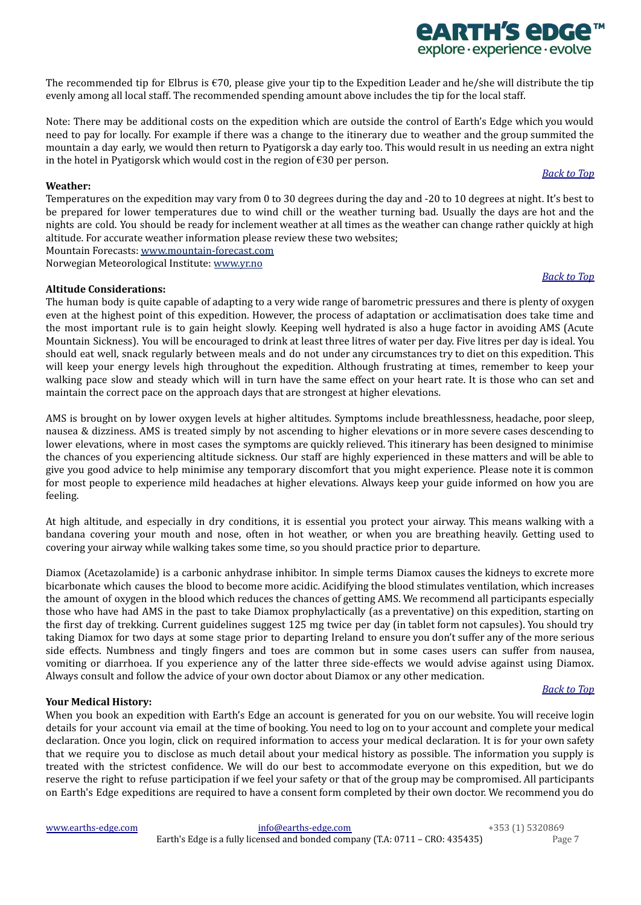[www.earths-edge.com](http://www.earths-edge.com/) [info@earths-edge.com](mailto:info@earths-edge.com) +353 (1) 5320869 Earth's Edge is a fully licensed and bonded company (T.A: 0711 – CRO: 435435) Page 7

## details for your account via email at the time of booking. You need to log on to your account and complete your medical declaration. Once you login, click on required information to access your medical declaration. It is for your own safety that we require you to disclose as much detail about your medical history as possible. The information you supply is treated with the strictest confidence. We will do our best to accommodate everyone on this expedition, but we do reserve the right to refuse participation if we feel your safety or that of the group may be compromised. All participants on Earth's Edge expeditions are required to have a consent form completed by their own doctor. We recommend you do

Diamox (Acetazolamide) is a carbonic anhydrase inhibitor. In simple terms Diamox causes the kidneys to excrete more bicarbonate which causes the blood to become more acidic. Acidifying the blood stimulates ventilation, which increases the amount of oxygen in the blood which reduces the chances of getting AMS. We recommend all participants especially those who have had AMS in the past to take Diamox prophylactically (as a preventative) on this expedition, starting on the first day of trekking. Current guidelines suggest 125 mg twice per day (in tablet form not capsules). You should try taking Diamox for two days at some stage prior to departing Ireland to ensure you don't suffer any of the more serious side effects. Numbness and tingly fingers and toes are common but in some cases users can suffer from nausea, vomiting or diarrhoea. If you experience any of the latter three side-effects we would advise against using Diamox.

At high altitude, and especially in dry conditions, it is essential you protect your airway. This means walking with a bandana covering your mouth and nose, often in hot weather, or when you are breathing heavily. Getting used to covering your airway while walking takes some time, so you should practice prior to departure.

The human body is quite capable of adapting to a very wide range of barometric pressures and there is plenty of oxygen even at the highest point of this expedition. However, the process of adaptation or acclimatisation does take time and the most important rule is to gain height slowly. Keeping well hydrated is also a huge factor in avoiding AMS (Acute Mountain Sickness). You will be encouraged to drink at least three litres of water per day. Five litres per day is ideal. You should eat well, snack regularly between meals and do not under any circumstances try to diet on this expedition. This will keep your energy levels high throughout the expedition. Although frustrating at times, remember to keep your walking pace slow and steady which will in turn have the same effect on your heart rate. It is those who can set and maintain the correct pace on the approach days that are strongest at higher elevations.

Note: There may be additional costs on the expedition which are outside the control of Earth's Edge which you would need to pay for locally. For example if there was a change to the itinerary due to weather and the group summited the mountain a day early, we would then return to Pyatigorsk a day early too. This would result in us needing an extra night in the hotel in Pyatigorsk which would cost in the region of €30 per person.

evenly among all local staff. The recommended spending amount above includes the tip for the local staff.

## <span id="page-6-0"></span>**Weather:**

Temperatures on the expedition may vary from 0 to 30 degrees during the day and -20 to 10 degrees at night. It's best to be prepared for lower temperatures due to wind chill or the weather turning bad. Usually the days are hot and the nights are cold. You should be ready for inclement weather at all times as the weather can change rather quickly at high altitude. For accurate weather information please review these two websites;

The recommended tip for Elbrus is  $\epsilon$ 70, please give your tip to the Expedition Leader and he/she will distribute the tip

Mountain Forecasts: [www.mountain-forecast.com](http://www.mountain-forecast.com)

Norwegian Meteorological Institute: [www.yr.no](http://www.yr.no)

## <span id="page-6-1"></span>**Altitude Considerations:**

*[Back](#page-0-2) to Top*

# *[Back](#page-0-2) to Top*

*[Back](#page-0-2) to Top*

# *<u>EARTH'S EDGE</u>* explore · experience · evolve

AMS is brought on by lower oxygen levels at higher altitudes. Symptoms include breathlessness, headache, poor sleep,

nausea & dizziness. AMS is treated simply by not ascending to higher elevations or in more severe cases descending to lower elevations, where in most cases the symptoms are quickly relieved. This itinerary has been designed to minimise the chances of you experiencing altitude sickness. Our staff are highly experienced in these matters and will be able to give you good advice to help minimise any temporary discomfort that you might experience. Please note it is common for most people to experience mild headaches at higher elevations. Always keep your guide informed on how you are feeling.

**Your Medical History:**

When you book an expedition with Earth's Edge an account is generated for you on our website. You will receive login

<span id="page-6-2"></span>Always consult and follow the advice of your own doctor about Diamox or any other medication.

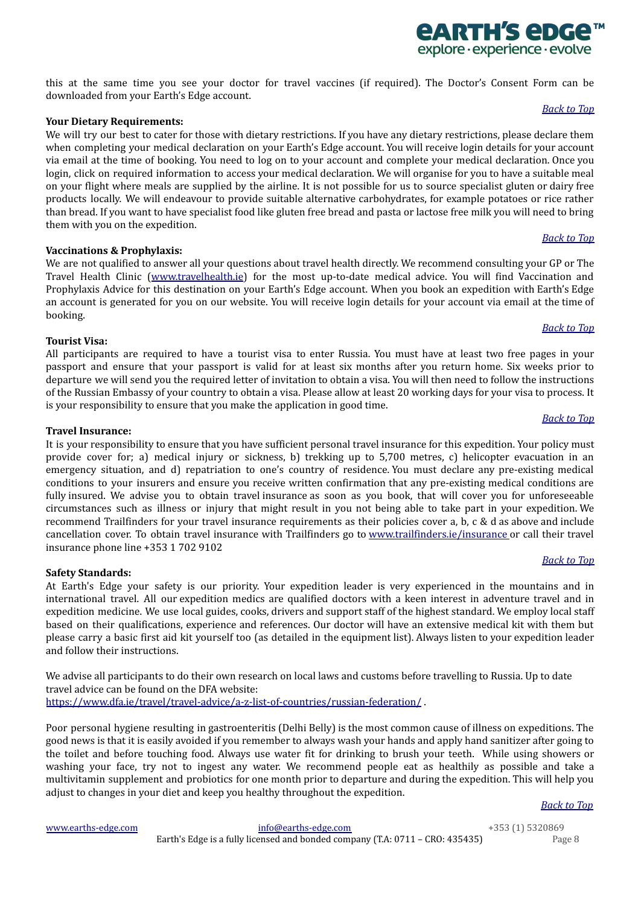this at the same time you see your doctor for travel vaccines (if required). The Doctor's Consent Form can be downloaded from your Earth's Edge account.

### <span id="page-7-5"></span>**Your Dietary Requirements:**

We will try our best to cater for those with dietary restrictions. If you have any dietary restrictions, please declare them when completing your medical declaration on your Earth's Edge account. You will receive login details for your account via email at the time of booking. You need to log on to your account and complete your medical declaration. Once you login, click on required information to access your medical declaration. We will organise for you to have a suitable meal on your flight where meals are supplied by the airline. It is not possible for us to source specialist gluten or dairy free products locally. We will endeavour to provide suitable alternative carbohydrates, for example potatoes or rice rather than bread. If you want to have specialist food like gluten free bread and pasta or lactose free milk you will need to bring them with you on the expedition.

## <span id="page-7-0"></span>**Vaccinations & Prophylaxis:**

We are not qualified to answer all your questions about travel health directly. We recommend consulting your GP or The Travel Health Clinic ([www.travelhealth.ie](http://www.travelhealth.ie/)) for the most up-to-date medical advice. You will find Vaccination and Prophylaxis Advice for this destination on your Earth's Edge account. When you book an expedition with Earth's Edge an account is generated for you on our website. You will receive login details for your account via email at the time of booking.

### <span id="page-7-1"></span>**Tourist Visa:**

All participants are required to have a tourist visa to enter Russia. You must have at least two free pages in your passport and ensure that your passport is valid for at least six months after you return home. Six weeks prior to departure we will send you the required letter of invitation to obtain a visa. You will then need to follow the instructions of the Russian Embassy of your country to obtain a visa. Please allow at least 20 working days for your visa to process. It is your responsibility to ensure that you make the application in good time.

### <span id="page-7-2"></span>**Travel Insurance:**

It is your responsibility to ensure that you have sufficient personal travel insurance for this expedition. Your policy must provide cover for; a) medical injury or sickness, b) trekking up to 5,700 metres, c) helicopter evacuation in an emergency situation, and d) repatriation to one's country of residence. You must declare any pre-existing medical conditions to your insurers and ensure you receive written confirmation that any pre-existing medical conditions are fully insured. We advise you to obtain travel insurance as soon as you book, that will cover you for unforeseeable circumstances such as illness or injury that might result in you not being able to take part in your expedition. We recommend Trailfinders for your travel insurance requirements as their policies cover a, b, c & d as above and include cancellation cover. To obtain travel insurance with Trailfinders go to [www.trailfinders.ie/insurance](http://www.trailfinders.ie/insurance%C2%A0) or call their travel insurance phone line +353 1 702 9102

## <span id="page-7-3"></span>**Safety Standards:**

At Earth's Edge your safety is our priority. Your expedition leader is very experienced in the mountains and in international travel. All our expedition medics are qualified doctors with a keen interest in adventure travel and in expedition medicine. We use local guides, cooks, drivers and support staff of the highest standard. We employ local staff based on their qualifications, experience and references. Our doctor will have an extensive medical kit with them but please carry a basic first aid kit yourself too (as detailed in the equipment list). Always listen to your expedition leader and follow their instructions.

We advise all participants to do their own research on local laws and customs before travelling to Russia. Up to date travel advice can be found on the DFA website:

<https://www.dfa.ie/travel/travel-advice/a-z-list-of-countries/russian-federation/> .

Poor personal hygiene resulting in gastroenteritis (Delhi Belly) is the most common cause of illness on expeditions. The good news is that it is easily avoided if you remember to always wash your hands and apply hand sanitizer after going to the toilet and before touching food. Always use water fit for drinking to brush your teeth. While using showers or washing your face, try not to ingest any water. We recommend people eat as healthily as possible and take a multivitamin supplement and probiotics for one month prior to departure and during the expedition. This will help you adjust to changes in your diet and keep you healthy throughout the expedition.

<span id="page-7-4"></span>

[www.earths-edge.com](http://www.earths-edge.com/) [info@earths-edge.com](mailto:info@earths-edge.com) +353 (1) 5320869 Earth's Edge is a fully licensed and bonded company (T.A: 0711 – CRO: 435435) Page 8

#### *[Back](#page-0-2) to Top*

## *[Back](#page-0-2) to Top*

*[Back](#page-0-2) to Top*

## *[Back](#page-0-2) to Top*

## *[Back](#page-0-2) to Top*

*<u>ARTH'S ADGA</u>* explore · experience · evolve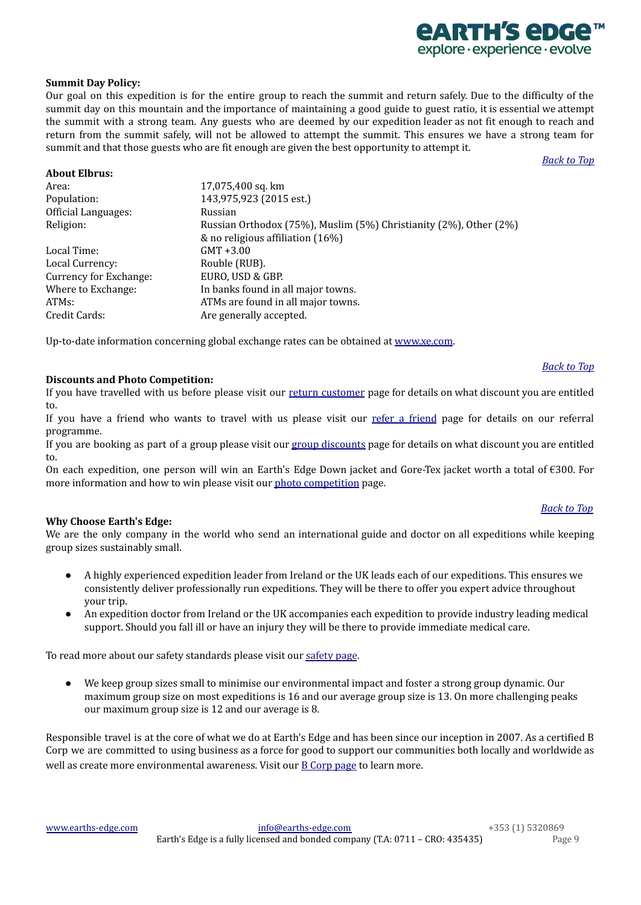# *<u>EARTH'S EDG</u>* explore · experience · evolve

## **Summit Day Policy:**

Our goal on this expedition is for the entire group to reach the summit and return safely. Due to the difficulty of the summit day on this mountain and the importance of maintaining a good guide to guest ratio, it is essential we attempt the summit with a strong team. Any guests who are deemed by our expedition leader as not fit enough to reach and return from the summit safely, will not be allowed to attempt the summit. This ensures we have a strong team for summit and that those guests who are fit enough are given the best opportunity to attempt it.

*[Back](#page-0-2) to Top*

## **About Elbrus:**

| Area:                  | 17,075,400 sq. km                                                 |
|------------------------|-------------------------------------------------------------------|
| Population:            | 143,975,923 (2015 est.)                                           |
| Official Languages:    | Russian                                                           |
| Religion:              | Russian Orthodox (75%), Muslim (5%) Christianity (2%), Other (2%) |
|                        | & no religious affiliation (16%)                                  |
| Local Time:            | $GMT + 3.00$                                                      |
| Local Currency:        | Rouble (RUB).                                                     |
| Currency for Exchange: | EURO, USD & GBP.                                                  |
| Where to Exchange:     | In banks found in all major towns.                                |
| ATMs:                  | ATMs are found in all major towns.                                |
| Credit Cards:          | Are generally accepted.                                           |

Up-to-date information concerning global exchange rates can be obtained at [www.xe.com](http://www.xe.com/).

## <span id="page-8-0"></span>**Discounts and Photo Competition:**

If you have travelled with us before please visit our return [customer](https://www.earths-edge.com/return-customers/) page for details on what discount you are entitled to.

If you have a [friend](https://www.earths-edge.com/refer-a-friend/) who wants to travel with us please visit our refer a friend page for details on our referral programme.

If you are booking as part of a group please visit our group [discounts](https://www.earths-edge.com/group-discounts/) page for details on what discount you are entitled to.

On each expedition, one person will win an Earth's Edge Down jacket and Gore-Tex jacket worth a total of €300. For more information and how to win please visit our photo [competition](https://www.earths-edge.com/offers/photo-competition/) page.

## <span id="page-8-1"></span>**Why Choose Earth's Edge:**

We are the only company in the world who send an international guide and doctor on all expeditions while keeping group sizes sustainably small.

- A highly experienced expedition leader from Ireland or the UK leads each of our expeditions. This ensures we consistently deliver professionally run expeditions. They will be there to offer you expert advice throughout your trip.
- An expedition doctor from Ireland or the UK accompanies each expedition to provide industry leading medical support. Should you fall ill or have an injury they will be there to provide immediate medical care.

To read more about our [safety](https://www.earths-edge.com/safety/) standards please visit our safety page.

● We keep group sizes small to minimise our environmental impact and foster a strong group dynamic. Our maximum group size on most expeditions is 16 and our average group size is 13. On more challenging peaks our maximum group size is 12 and our average is 8.

Responsible travel is at the core of what we do at Earth's Edge and has been since our inception in 2007. As a certified B Corp we are committed to using business as a force for good to support our communities both locally and worldwide as well as create more environmental awareness. Visit our B [Corp](https://earths-edge.com/b-corp/) page to learn more.

#### *[Back](#page-0-2) to Top*

*[Back](#page-0-2) to Top*